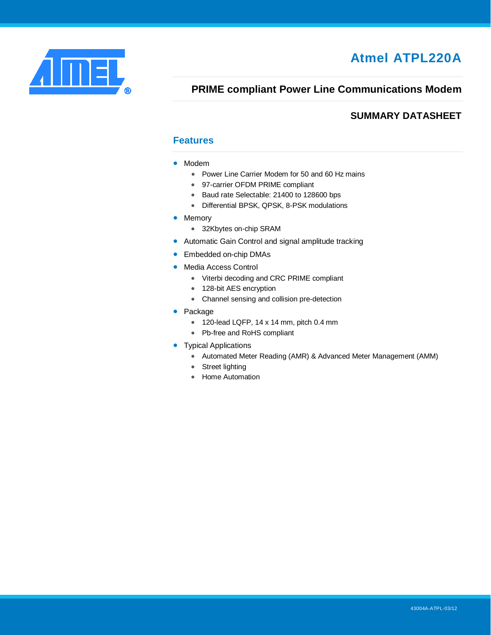<span id="page-0-0"></span>

# **Atmel ATPL220A**

## **PRIME compliant Power Line Communications Modem**

## <span id="page-0-1"></span>**SUMMARY DATASHEET**

### **Features**

- Modem
	- Power Line Carrier Modem for 50 and 60 Hz mains
	- 97-carrier OFDM PRIME compliant
	- Baud rate Selectable: 21400 to 128600 bps
	- Differential BPSK, QPSK, 8-PSK modulations
- Memory
	- 32Kbytes on-chip SRAM
- Automatic Gain Control and signal amplitude tracking
- Embedded on-chip DMAs
- Media Access Control
	- Viterbi decoding and CRC PRIME compliant
	- 128-bit AES encryption
	- Channel sensing and collision pre-detection
- Package
	- 120-lead LQFP, 14 x 14 mm, pitch 0.4 mm
	- Pb-free and RoHS compliant
- <span id="page-0-2"></span>• Typical Applications
	- Automated Meter Reading (AMR) & Advanced Meter Management (AMM)
	- Street lighting
	- Home Automation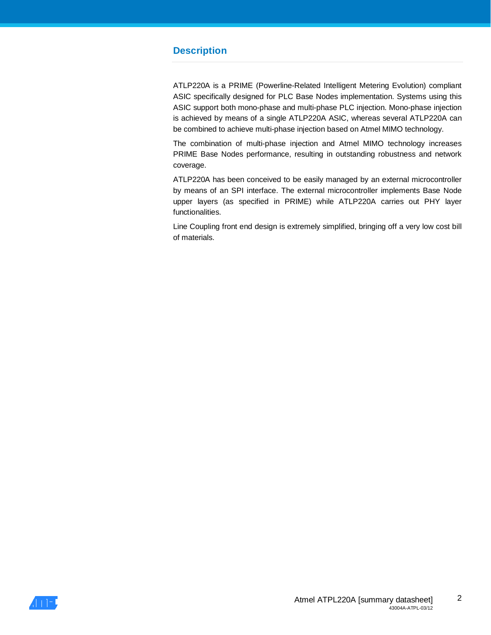## **Description**

ATLP220A is a PRIME (Powerline-Related Intelligent Metering Evolution) compliant ASIC specifically designed for PLC Base Nodes implementation. Systems using this ASIC support both mono-phase and multi-phase PLC injection. Mono-phase injection is achieved by means of a single ATLP220A ASIC, whereas several ATLP220A can be combined to achieve multi-phase injection based on Atmel MIMO technology.

The combination of multi-phase injection and Atmel MIMO technology increases PRIME Base Nodes performance, resulting in outstanding robustness and network coverage.

ATLP220A has been conceived to be easily managed by an external microcontroller by means of an SPI interface. The external microcontroller implements Base Node upper layers (as specified in PRIME) while ATLP220A carries out PHY layer functionalities.

Line Coupling front end design is extremely simplified, bringing off a very low cost bill of materials.

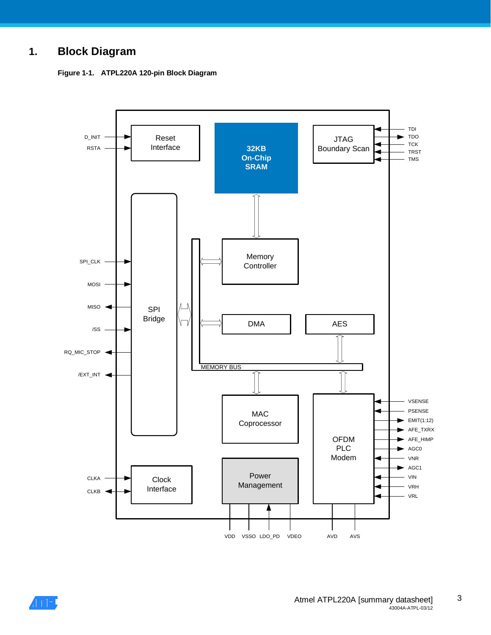## **1. Block Diagram**





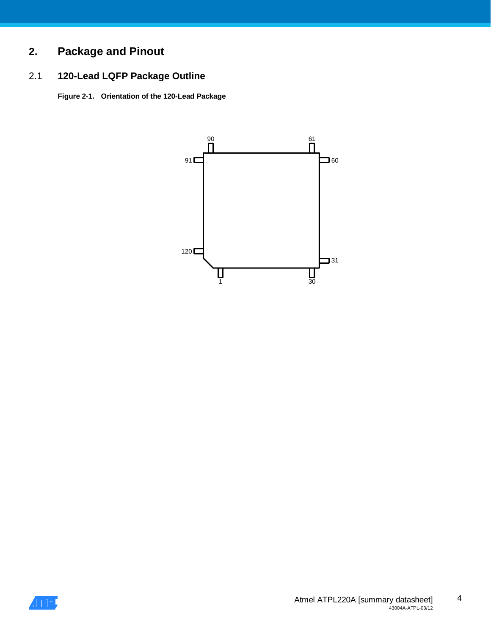# **2. Package and Pinout**

## 2.1 **120-Lead LQFP Package Outline**

**Figure 2-1. Orientation of the 120-Lead Package**



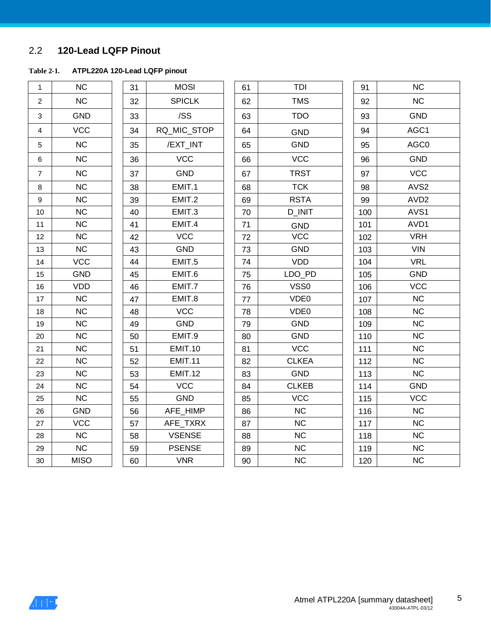## 2.2 **120-Lead LQFP Pinout**

### **Table 2-1. ATPL220A 120-Lead LQFP pinout**

| 1              | <b>NC</b>   | 31 | <b>MOSI</b>    | 61 | TDI          | 91  | <b>NC</b>        |
|----------------|-------------|----|----------------|----|--------------|-----|------------------|
| $\overline{c}$ | NC          | 32 | <b>SPICLK</b>  | 62 | <b>TMS</b>   | 92  | <b>NC</b>        |
| 3              | <b>GND</b>  | 33 | /SS            | 63 | <b>TDO</b>   | 93  | <b>GND</b>       |
| 4              | <b>VCC</b>  | 34 | RQ_MIC_STOP    | 64 | <b>GND</b>   | 94  | AGC1             |
| 5              | <b>NC</b>   | 35 | /EXT_INT       | 65 | <b>GND</b>   | 95  | AGC0             |
| $\,6$          | <b>NC</b>   | 36 | <b>VCC</b>     | 66 | <b>VCC</b>   | 96  | <b>GND</b>       |
| $\overline{7}$ | NC          | 37 | <b>GND</b>     | 67 | <b>TRST</b>  | 97  | <b>VCC</b>       |
| 8              | <b>NC</b>   | 38 | EMIT.1         | 68 | <b>TCK</b>   | 98  | AVS <sub>2</sub> |
| 9              | <b>NC</b>   | 39 | EMIT.2         | 69 | <b>RSTA</b>  | 99  | AVD <sub>2</sub> |
| $10$           | NC          | 40 | EMIT.3         | 70 | D_INIT       | 100 | AVS1             |
| 11             | <b>NC</b>   | 41 | EMIT.4         | 71 | <b>GND</b>   | 101 | AVD1             |
| 12             | NC          | 42 | <b>VCC</b>     | 72 | <b>VCC</b>   | 102 | <b>VRH</b>       |
| 13             | NC          | 43 | <b>GND</b>     | 73 | <b>GND</b>   | 103 | <b>VIN</b>       |
| 14             | <b>VCC</b>  | 44 | EMIT.5         | 74 | <b>VDD</b>   | 104 | <b>VRL</b>       |
| 15             | <b>GND</b>  | 45 | EMIT.6         | 75 | LDO_PD       | 105 | <b>GND</b>       |
| 16             | <b>VDD</b>  | 46 | EMIT.7         | 76 | VSS0         | 106 | <b>VCC</b>       |
| 17             | NC          | 47 | EMIT.8         | 77 | VDE0         | 107 | <b>NC</b>        |
| 18             | <b>NC</b>   | 48 | <b>VCC</b>     | 78 | VDE0         | 108 | <b>NC</b>        |
| 19             | <b>NC</b>   | 49 | GND            | 79 | <b>GND</b>   | 109 | <b>NC</b>        |
| 20             | <b>NC</b>   | 50 | EMIT.9         | 80 | <b>GND</b>   | 110 | <b>NC</b>        |
| 21             | <b>NC</b>   | 51 | <b>EMIT.10</b> | 81 | <b>VCC</b>   | 111 | <b>NC</b>        |
| 22             | <b>NC</b>   | 52 | <b>EMIT.11</b> | 82 | <b>CLKEA</b> | 112 | <b>NC</b>        |
| 23             | NC          | 53 | <b>EMIT.12</b> | 83 | <b>GND</b>   | 113 | <b>NC</b>        |
| 24             | <b>NC</b>   | 54 | <b>VCC</b>     | 84 | <b>CLKEB</b> | 114 | <b>GND</b>       |
| 25             | <b>NC</b>   | 55 | <b>GND</b>     | 85 | <b>VCC</b>   | 115 | <b>VCC</b>       |
| 26             | <b>GND</b>  | 56 | AFE_HIMP       | 86 | <b>NC</b>    | 116 | NC               |
| 27             | <b>VCC</b>  | 57 | AFE_TXRX       | 87 | NC           | 117 | <b>NC</b>        |
| 28             | NC          | 58 | <b>VSENSE</b>  | 88 | NC           | 118 | <b>NC</b>        |
| 29             | NC          | 59 | <b>PSENSE</b>  | 89 | NC           | 119 | <b>NC</b>        |
| 30             | <b>MISO</b> | 60 | <b>VNR</b>     | 90 | NC           | 120 | <b>NC</b>        |

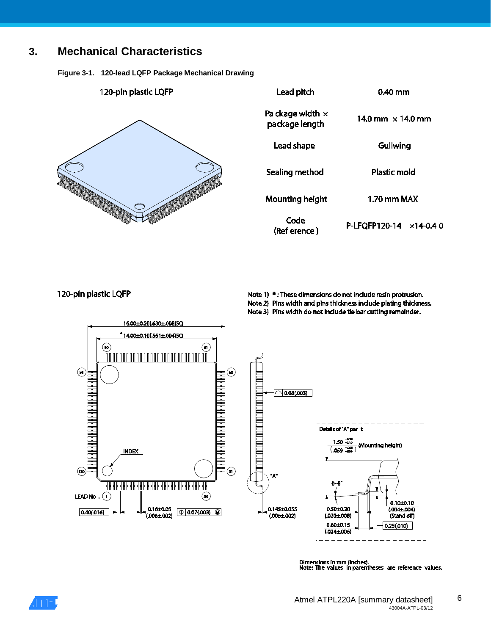## **3. Mechanical Characteristics**

**Figure 3-1. 120-lead LQFP Package Mechanical Drawing**

| 120-pin plastic LQFP | Lead pitch                                | 0.40 mm                     |
|----------------------|-------------------------------------------|-----------------------------|
|                      | Pa ckage width $\times$<br>package length | 14.0 mm $\times$ 14.0 mm    |
|                      | Lead shape                                | Gullwing                    |
|                      | Sealing method                            | <b>Plastic mold</b>         |
|                      | <b>Mounting height</b>                    | 1.70 mm MAX                 |
|                      | Code<br>(Ref erence)                      | P-LFQFP120-14<br>$×14-0.40$ |

#### 120-pin plastic LQFP

Note 1) \* : These dimensions do not include resin protrusion. Note 2) Pins width and pins thickness include plating thickness.

Note 3) Pins width do not include tie bar cutting remainder.



Dimensions in mm (inches).<br>Note: The values in parentheses are reference values.

6

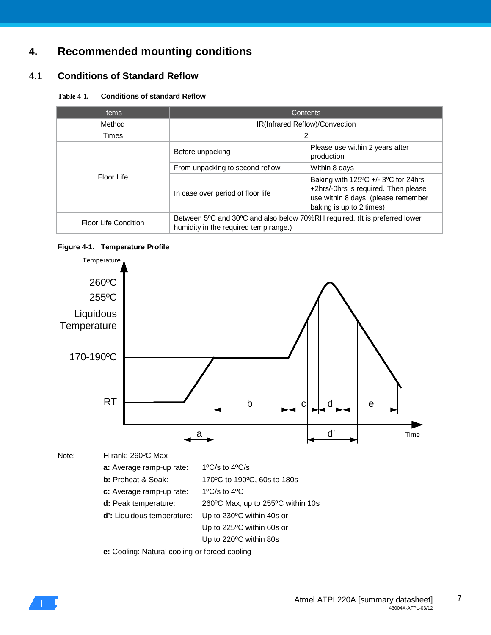## **4. Recommended mounting conditions**

## 4.1 **Conditions of Standard Reflow**

#### **Table 4-1. Conditions of standard Reflow**

| <b>Items</b>         | Contents                                                                                                            |                                                                                                                                                                       |  |  |  |
|----------------------|---------------------------------------------------------------------------------------------------------------------|-----------------------------------------------------------------------------------------------------------------------------------------------------------------------|--|--|--|
| Method               | IR(Infrared Reflow)/Convection                                                                                      |                                                                                                                                                                       |  |  |  |
| Times                | 2                                                                                                                   |                                                                                                                                                                       |  |  |  |
|                      | Before unpacking                                                                                                    | Please use within 2 years after<br>production                                                                                                                         |  |  |  |
|                      | From unpacking to second reflow                                                                                     | Within 8 days                                                                                                                                                         |  |  |  |
| Floor Life           | In case over period of floor life                                                                                   | Baking with $125^{\circ}$ C +/- 3 <sup>o</sup> C for 24hrs<br>+2hrs/-0hrs is required. Then please<br>use within 8 days. (please remember<br>baking is up to 2 times) |  |  |  |
| Floor Life Condition | Between 5°C and 30°C and also below 70%RH required. (It is preferred lower<br>humidity in the required temp range.) |                                                                                                                                                                       |  |  |  |

### **Figure 4-1. Temperature Profile**



**e:** Cooling: Natural cooling or forced cooling

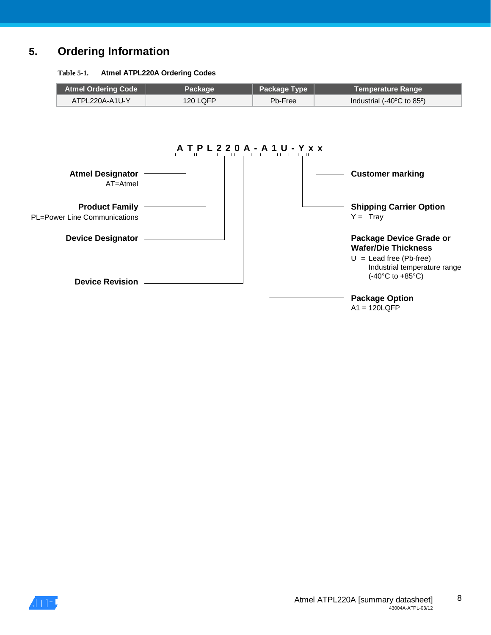## **5. Ordering Information**

#### **Table 5-1. Atmel ATPL220A Ordering Codes**



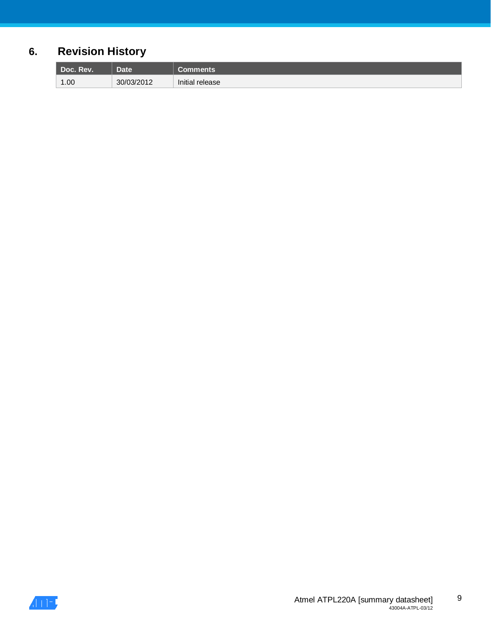# **6. Revision History**

| Doc.<br>Rev. | <b>Date</b> | ıents           |
|--------------|-------------|-----------------|
| 1.00         | 30/03/2012  | Initial release |